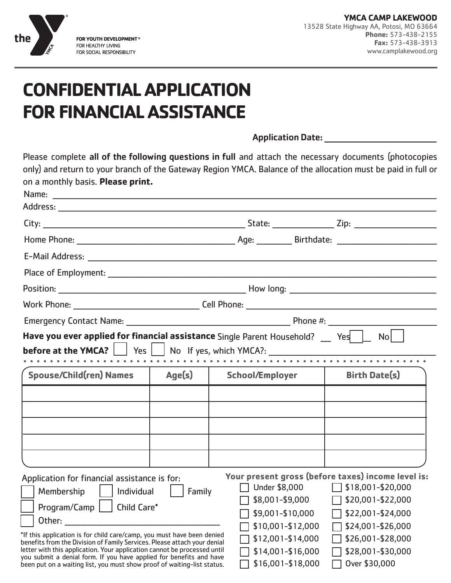

# **CONFIDENTIAL APPLICATION FOR FINANCIAL ASSISTANCE**

Application Date:

Please complete all of the following questions in full and attach the necessary documents (photocopies only) and return to your branch of the Gateway Region YMCA. Balance of the allocation must be paid in full or on a monthly basis. **Please print.**

| Have you ever applied for financial assistance Single Parent Household? __ Yes   L No                                                                |        |                        |                                 |                                                                         |  |  |
|------------------------------------------------------------------------------------------------------------------------------------------------------|--------|------------------------|---------------------------------|-------------------------------------------------------------------------|--|--|
| <b>before at the YMCA?</b> $\begin{array}{ c c c c c } \hline \text{Yes} & \text{No} & \text{If yes, which YMCA?}: \hline \end{array}$               |        |                        |                                 |                                                                         |  |  |
|                                                                                                                                                      |        |                        |                                 |                                                                         |  |  |
| <b>Spouse/Child(ren) Names</b>                                                                                                                       | Age(s) | <b>School/Employer</b> |                                 | <b>Birth Date(s)</b>                                                    |  |  |
|                                                                                                                                                      |        |                        |                                 |                                                                         |  |  |
|                                                                                                                                                      |        |                        |                                 |                                                                         |  |  |
|                                                                                                                                                      |        |                        |                                 |                                                                         |  |  |
|                                                                                                                                                      |        |                        |                                 |                                                                         |  |  |
|                                                                                                                                                      |        |                        |                                 |                                                                         |  |  |
|                                                                                                                                                      |        |                        |                                 |                                                                         |  |  |
| Application for financial assistance is for:                                                                                                         |        | Under \$8,000          |                                 | Your present gross (before taxes) income level is:<br>\$18,001-\$20,000 |  |  |
| Membership     Individual                                                                                                                            | Family | \$8,001-\$9,000        |                                 | \$20,001-\$22,000                                                       |  |  |
| Program/Camp     Child Care*                                                                                                                         |        | \$9,001-\$10,000       |                                 | \$22,001-\$24,000                                                       |  |  |
|                                                                                                                                                      |        |                        | \$10,001-\$12,000               | \$24,001-\$26,000                                                       |  |  |
| *If this application is for child care/camp, you must have been denied                                                                               |        |                        | \$12,001-\$14,000               | \$26,001-\$28,000                                                       |  |  |
| benefits from the Division of Family Services. Please attach your denial<br>letter with this application. Your application cannot be processed until |        |                        | \$14,001-\$16,000               | \$28,001-\$30,000                                                       |  |  |
| you submit a denial form. If you have applied for benefits and have<br>been put on a waiting list, you must show proof of waiting-list status.       |        | \$16,001-\$18,000      | Over \$30,000<br>$\blacksquare$ |                                                                         |  |  |